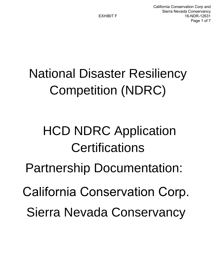California Conservation Corp and<br>Sierra Nevada Conservancy<br>16-NDR-12631 Sierra Nevada Conservancy 16-NDR-12631 Page 1 of 7

National Disaster Resiliency Competition (NDRC)

# HCD NDRC Application **Certifications** Partnership Documentation:

California Conservation Corp. Sierra Nevada Conservancy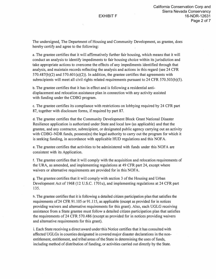The undersigned, The Department of Housing and Community Development, as grantee, does hereby certify and agree to the following:

a. The grantee certifies that it will affirmatively further fair housing, which means that it will conduct an analysis to identify impediments to fair housing choice within its jurisdiction and take appropriate actions to overcome the effects of any impediments identified through that analysis, and maintain records reflecting the analysis and actions in this regard (see 24 CFR  $570.487(b)(2)$  and  $570.601(a)(2)$ ). In addition, the grantee certifies that agreements with subrecipients will meet all civil rights related requirements pursuant to 24 CFR 570.503(b)(5).

b. The grantee certifies that it has in effect and is following a residential antidisplacement and relocation assistance plan in connection with any activity assisted with funding under the CDBG program.

c. The grantee certifies its compliance with restrictions on lobbying required by 24 CFR part 87, together with disclosure forms, if required by part 87.

d. The grantee certifies that the Community Development Block Grant National Disaster Resilience application is authorized under State and local law (as applicable) and that the grantee, and any contractor, subrecipient, or designated public agency carrying out an activity with CDBG-NDR funds, possess(es) the legal authority to carry out the program for which it is seeking funding, in accordance with applicable HUD regulations and this NOF A.

e. The grantee certifies that activities to be administered with funds under this NOFA are consistent with its Application.

f. The grantee certifies that it will comply with the acquisition and relocation requirements of the URA, as amended, and implementing regulations at 49 CFR part 24, except where waivers or alternative requirements are provided for in this NOFA.

g. The grantee certifies that it will comply with section 3 of the Housing and Urban Development Act of 1968 (12 U.S.C. 1701u), and implementing regulations at 24 CFR part 135.

h. The grantee certifies that it is following a detailed citizen participation plan that satisfies the requirements of24 CFR 91.105 or 91.115, as applicable (except as provided for in notices providing waivers and alternative requirements for this grant). Also, each UGLG receiving assistance from a State grantee must follow a detailed citizen participation plan that satisfies the requirements of 24 CFR 570.486 ( except as provided for in notices providing waivers and alternative requirements for this grant).

i. Each State receiving a direct award under this Notice certifies that it has consulted with affected UGLGs in counties designated in covered major disaster declarations in the nonentitlement, entitlement, and tribal areas of the State in determining the uses of funds, including method of distribution of funding, or activities carried out directly by the State.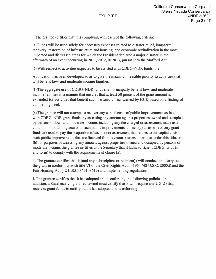j. The grantee certifies that it is complying with each of the following criteria:

**(1)** Funds will be used solely for necessary expenses related to disaster relief, long-term recovery, restoration of infrastructure and housing, and economic revitalization in the most impacted and distressed areas for which the President declared a major disaster in the aftermath of an event occurring in 2011, 2012, Or 2013, pursuant to the Stafford Act.

**(2)** With respect to activities expected to be assisted with CDBG-NDR funds, the

Application has been developed so as to give the maximum feasible priority to activities that will benefit low- and moderate-income families.

**(3)** The aggregate use of CDBG-NDR funds shall principally benefit low- and moderateincome families in a manner that ensures that at least 50 percent of the grant amount is expended for activities that benefit such persons, unless waived by HUD based on a finding of compelling need.

**(4)** The grantee will not attempt to recover any capital costs of public improvements assisted with CDBG-NDR grant funds, by assessing any amount against properties owned and occupied by persons of low- and moderate-income, including any fee charged or assessment made as a condition of obtaining access to such public improvements, unless: (a) disaster recovery grant funds are used to pay the proportion of such fee or assessment that relates to the capital costs of such public improvements that are financed from revenue sources other than under this title; or (b) for purposes of assessing any amount against properties owned and occupied by persons of moderate income, the grantee certifies to the Secretary that it lacks sufficient CDBG funds (in any form) to comply with the requirements of clause (a).

k. The grantee certifies that it (and any subrecipient or recipient)) will conduct and carry out the grant in conformity with title VI of the Civil Rights Act of 1964 (42 U.S.C. 2000d) and the Fair Housing Act (42 U.S.C. 3601–3619) and implementing regulations.

l. The grantee certifies that it has adopted and is enforcing the following policies. In addition, a State receiving a direct award must certify that it will require any UGLG that receives grant funds to certify that it has adopted and is enforcing: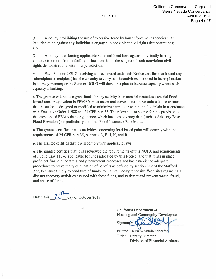(1) A policy prohibiting the use of excessive *fo*rce by law en*fo*rcement agencies within its jurisdiction against any individuals engaged in nonviolent civil rights demonstrations; and

(2) A policy of en*fo*rcing applicable State and local laws against physically barring entrance to or exit *fr*om a facility or location that is the subject of such nonviolent civil rights demonstrations within its jurisdiction.

m. Each State or UGLG receiving a direct award under this Notice certifies that it (and any subrecipient or recipient) has the capacity to carry out the activities proposed in its Application in a timely manner; or the State or UGLG will develop a plan to increase capacity where such capacity is lacking.

n. The grantee will not use grant funds *fo*r any activity in an area delineated as a special flood hazard area or equivalent in FEMA's most recent and current data source unless it also ensures that the action is designed or modified to minimize harm to or within the floodplain in accordance with Executive Order 11988 and 24 CFR part 55. The relevant data source *fo*r this provision is the latest issued FEMA data or guidance, which includes advisory data (such as Advisory Base Flood Elevations) or preliminary and final Flood *I*nsurance Rate Maps.

o. The grantee certifies that its activities concerning lead-based paint will comply with the requirements of 24 CFR part 35, subparts A, B, J, K, and R.

p. The grantee certifies that it will comply with applicable laws.

q. The grantee certifies that it has reviewed the requirements of this NOFA and requirements of Public Law 113-2 applicable to funds allocated by this Notice, and that it has in place proficient financial controls and procurement processes and has established adequate procedures to prevent any duplication of benefits as defined by section 312 of the Stafford Act, to ensure timely expenditure of funds, to maintain comprehensive Web sites regarding all disaster recovery activities assisted with these funds, and to detect and prevent waste, *fr*aud, and abuse of funds.

Dated this **20<sup>***\iffurnal* day of October 2015.</sup>

Cali*fo*rnia Department of Housing and Community Development Signature: C

Printed:Laura Whittall-Scherfee Title: Deputy Director Division of Financial Assitance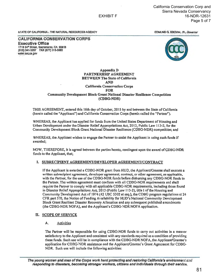STATE OF CALIFORNIA - THE NATURAL RESOURCES AGENCY

**CALIFORNIA CONSERVATION CORPS Executive Office** 1719 24<sup>th</sup> Street, Sacramento, CA 95816<br>(916) 341-3207 FAX (877) 315-5085 www.ccc.ca.gov



EDMUND G. BROWN, JR., Governor

### **Appendix D** PARTNERHSIP AGREEMENT **BETWEEN The State of California AND California Conservation Corps FOR Community Development Block Grant National Disaster Resilience Competition** (CDBG-NDR)

THIS AGREEMENT, entered this 16th day of October, 2015 by and between the State of California (herein called the "Applicant") and California Conservation Corps (herein called the "Partner").

WHEREAS, the Applicant has applied for funds from the United States Department of Housing and Urban Development under the Disaster Relief Appropriations Act, 2013, Public Law 113-2, for the Community Development Block Grant National Disaster Resilience (CDBG-NDR) competition; and

WHEREAS, the Applicant wishes to engage the Partner to assist the Applicant in using such funds if awarded:

NOW, THEREFORE, it is agreed between the parties hereto, contingent upon the award of CDBG-NDR funds to the Applicant, that;

### I. SUBRECIPIENT AGREEMENT/DEVELOPER AGREEMENT/CONTRACT

If the Applicant is awarded a CDBG-NDR grant from HUD, the Applicant/Grantee shall execute a written subrecipient agreement, developer agreement, contract, or other agreement, as applicable, with the Partner, for the use of the CDBG-NDR funds before disbursing any CDBG-NDR funds to the Partner. The written agreement must conform with all CDBG-NDR requirements and shall require the Partner to comply with all applicable CDBG-NDR requirements, including those found in Disaster Relief Appropriations Act, 2013 (Public Law 113-2), title I of the Housing and Community Development Act of 1974 (42 USC 5302 et seq.), the CDBG program regulations at 24 CFR part 570, the Notice of Funding Availability for HUD's National Community Development Block Grant Resilient Disaster Recovery Allocation and any subsequent published amendments (the CDBG-NDR NOFA), and the Applicant's CDBG-NDR NOFA application.

### **II. SCOPE OF SERVICE**

### A. **Activities**

The Partner will be responsible for using CDBG-NDR funds to carry out activities in a manner satisfactory to the Applicant and consistent with any standards required as a condition of providing these funds. Such use will be in compliance with the CDBG-NDR NOFA, the Applicant/Grantee's application for CDBG-NDR assistance and the Applicant/Grantec's Grant Agreement for CDBG-NDR. Such use will include the following activities:

The young women and men of the Corps work hard protecting and restoring California's environment and responding to disasters, becoming stronger workers, citizens and individuals through their service.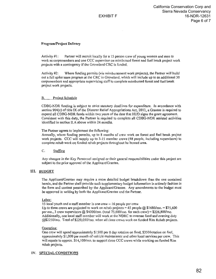### **Program/Project Delivery**

Activity #1: Partner will recruit locally for a 15 person crew of young women and men to work as corpsmembers and one CCC supervisor on reimbursed forest and fuel hreak project work projects with a contingency if the Groveland CRC is funded.

Activity #2: Where funding permits (via reimbursement work projects), the Partner will build out a lull spike team program at the CRC in Groveland, which will include up to an additional 30 corpsmembcrs and appropriate supervising staff to complete reimbursed forest and fuel break project work projects.

### B. Project Schedule

CDBG-NDR funding is subject to strict statutory deadlines for expenditure. In accordance with section 904(c) of title IX of the Disaster Relief Appropriations Act, 2013, a Grantee is required to expend all CDBG-NDR funds within two years of the date that HUD signs the grant agreement. Consistent with this duty, the Partner is required to complete all CDBG-NDR assisted aclivilies identified in section II.A above within 24 months.

The Partner agrees to implement the following:

Annually, where funding permits, up to 8 months of crew work on forest and fuel break project work projects. CCC will supply up to 3-15 member crews (48 people, including supervisors) to complete rehab work on funded rehab projects throughout he burned area.

### C. Staffing

Any changes in the Key Personnel assigned or their general responsibilities under this project are subject to the prior approval of the Applicant/Grantee.

### III. **BUDGET**

The Applicant/Grantee may require a more detailed budget breakdown than the one contained herein, and the Partner shall provide such supplementary budget information in a timely fashion in the fonn and content prescribed by the Applicant/Grantee. Any amendments to the budget must be approved in writing by both the Applicant/Grantee and the Partner.

### Labor:

15 local youth and a staff member is one crew  $-16$  people per crew

Up to three crews are projected to work on rehab projects = 45 people  $\omega$  \$1680/mo. = \$75,600 per mo., 3 crew supervisors  $@$  \$4000/mo. (total 75,600/mo. for each crew) = \$226,800/mo. Additionally, one local staff member will work at the NDRC to oversee food and evening duty @\$2250/mo. Total of\$229,050/mo. when all lhree crews work on funded Rim Rehab projects.

### Operating:

One crew will spend approximately \$1500 per 8 day rotation on food, \$350/rotation on fuel, approximately S 1,000 per month of vehicle maintenance and other local services per crew. This will equate to approx. \$14,100/mo. to support three CCC crews while working on funded Rim rehab projects.

### **IV. SPECIAL CONDITIONS**